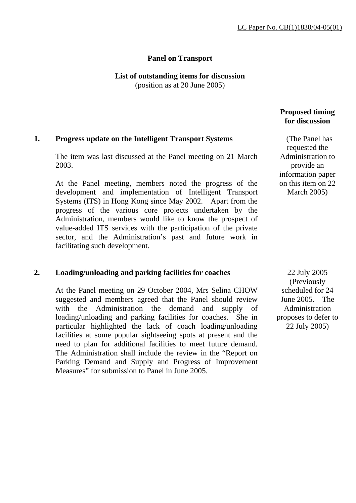# **Panel on Transport**

# **List of outstanding items for discussion**

(position as at 20 June 2005)

# **1. Progress update on the Intelligent Transport Systems**

The item was last discussed at the Panel meeting on 21 March 2003.

At the Panel meeting, members noted the progress of the development and implementation of Intelligent Transport Systems (ITS) in Hong Kong since May 2002. Apart from the progress of the various core projects undertaken by the Administration, members would like to know the prospect of value-added ITS services with the participation of the private sector, and the Administration's past and future work in facilitating such development.

## **2. Loading/unloading and parking facilities for coaches**

At the Panel meeting on 29 October 2004, Mrs Selina CHOW suggested and members agreed that the Panel should review with the Administration the demand and supply of loading/unloading and parking facilities for coaches. She in particular highlighted the lack of coach loading/unloading facilities at some popular sightseeing spots at present and the need to plan for additional facilities to meet future demand. The Administration shall include the review in the "Report on Parking Demand and Supply and Progress of Improvement Measures" for submission to Panel in June 2005.

# **Proposed timing for discussion**

 (The Panel has requested the Administration to provide an information paper on this item on 22 March 2005)

 22 July 2005 (Previously scheduled for 24 June 2005. The Administration proposes to defer to 22 July 2005)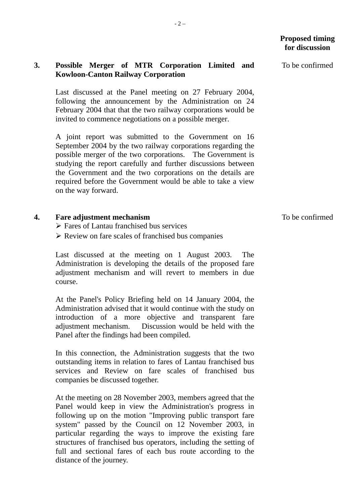# **3. Possible Merger of MTR Corporation Limited and Kowloon-Canton Railway Corporation**

Last discussed at the Panel meeting on 27 February 2004, following the announcement by the Administration on 24 February 2004 that that the two railway corporations would be invited to commence negotiations on a possible merger.

A joint report was submitted to the Government on 16 September 2004 by the two railway corporations regarding the possible merger of the two corporations. The Government is studying the report carefully and further discussions between the Government and the two corporations on the details are required before the Government would be able to take a view on the way forward.

- **4. Fare adjustment mechanism** 
	- $\triangleright$  Fares of Lantau franchised bus services
	- $\triangleright$  Review on fare scales of franchised bus companies

Last discussed at the meeting on 1 August 2003. The Administration is developing the details of the proposed fare adjustment mechanism and will revert to members in due course.

At the Panel's Policy Briefing held on 14 January 2004, the Administration advised that it would continue with the study on introduction of a more objective and transparent fare adjustment mechanism. Discussion would be held with the Panel after the findings had been compiled.

In this connection, the Administration suggests that the two outstanding items in relation to fares of Lantau franchised bus services and Review on fare scales of franchised bus companies be discussed together.

At the meeting on 28 November 2003, members agreed that the Panel would keep in view the Administration's progress in following up on the motion "Improving public transport fare system" passed by the Council on 12 November 2003, in particular regarding the ways to improve the existing fare structures of franchised bus operators, including the setting of full and sectional fares of each bus route according to the distance of the journey.

To be confirmed

To be confirmed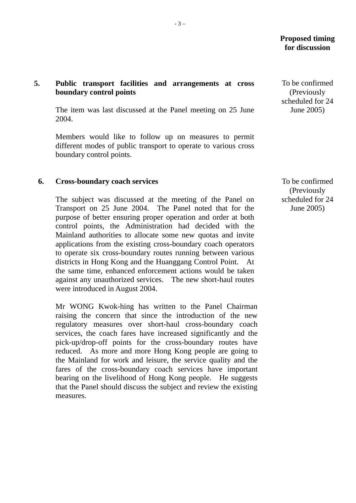## **Proposed timing for discussion**

 To be confirmed (Previously scheduled for 24 June 2005)

# **5. Public transport facilities and arrangements at cross boundary control points**

The item was last discussed at the Panel meeting on 25 June 2004.

Members would like to follow up on measures to permit different modes of public transport to operate to various cross boundary control points.

#### **6. Cross-boundary coach services**

The subject was discussed at the meeting of the Panel on Transport on 25 June 2004. The Panel noted that for the purpose of better ensuring proper operation and order at both control points, the Administration had decided with the Mainland authorities to allocate some new quotas and invite applications from the existing cross-boundary coach operators to operate six cross-boundary routes running between various districts in Hong Kong and the Huanggang Control Point. At the same time, enhanced enforcement actions would be taken against any unauthorized services. The new short-haul routes were introduced in August 2004.

Mr WONG Kwok-hing has written to the Panel Chairman raising the concern that since the introduction of the new regulatory measures over short-haul cross-boundary coach services, the coach fares have increased significantly and the pick-up/drop-off points for the cross-boundary routes have reduced. As more and more Hong Kong people are going to the Mainland for work and leisure, the service quality and the fares of the cross-boundary coach services have important bearing on the livelihood of Hong Kong people. He suggests that the Panel should discuss the subject and review the existing measures.

 To be confirmed (Previously scheduled for 24 June 2005)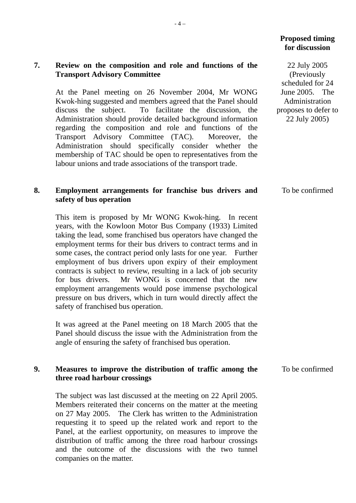# **Proposed timing for discussion**

 22 July 2005 (Previously scheduled for 24 June 2005. The Administration proposes to defer to 22 July 2005)

# **7. Review on the composition and role and functions of the Transport Advisory Committee**

At the Panel meeting on 26 November 2004, Mr WONG Kwok-hing suggested and members agreed that the Panel should discuss the subject. To facilitate the discussion, the Administration should provide detailed background information regarding the composition and role and functions of the Transport Advisory Committee (TAC). Moreover, the Administration should specifically consider whether the membership of TAC should be open to representatives from the labour unions and trade associations of the transport trade.

#### To be confirmed

To be confirmed

# **safety of bus operation**

**8. Employment arrangements for franchise bus drivers and** 

This item is proposed by Mr WONG Kwok-hing. In recent years, with the Kowloon Motor Bus Company (1933) Limited taking the lead, some franchised bus operators have changed the employment terms for their bus drivers to contract terms and in some cases, the contract period only lasts for one year. Further employment of bus drivers upon expiry of their employment contracts is subject to review, resulting in a lack of job security for bus drivers. Mr WONG is concerned that the new employment arrangements would pose immense psychological pressure on bus drivers, which in turn would directly affect the safety of franchised bus operation.

It was agreed at the Panel meeting on 18 March 2005 that the Panel should discuss the issue with the Administration from the angle of ensuring the safety of franchised bus operation.

#### **9. Measures to improve the distribution of traffic among the three road harbour crossings**

The subject was last discussed at the meeting on 22 April 2005. Members reiterated their concerns on the matter at the meeting on 27 May 2005. The Clerk has written to the Administration requesting it to speed up the related work and report to the Panel, at the earliest opportunity, on measures to improve the distribution of traffic among the three road harbour crossings and the outcome of the discussions with the two tunnel companies on the matter.

 $-4-$